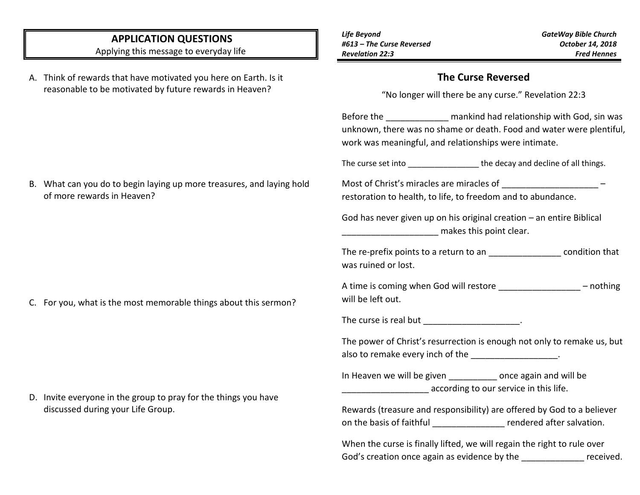## **APPLICATION QUESTIONS**

Applying this message to everyday life

A. Think of rewards that have motivated you here on Earth. Is it reasonable to be motivated by future rewards in Heaven?

## **The Curse Reversed**

"No longer will there be any curse." Revelation 22:3

Before the **Example 18** mankind had relationship with God, sin was unknown, there was no shame or death. Food and water were plentiful, work was meaningful, and relationships were intimate.

The curse set into **The curse set into Let up the decay and decline of all things.** 

Most of Christ's miracles are miracles of \_\_\_\_\_\_\_\_\_\_\_\_\_\_\_\_\_\_\_\_\_\_\_\_\_\_\_\_\_\_\_\_ restoration to health, to life, to freedom and to abundance.

God has never given up on his original creation – an entire Biblical  $m$  makes this point clear.

The re-prefix points to a return to an \_\_\_\_\_\_\_\_\_\_\_\_\_\_\_ condition that was ruined or lost.

A time is coming when God will restore **Example 2** – nothing will be left out.

The curse is real but \_\_\_\_\_\_\_\_\_\_\_\_\_\_\_\_\_\_\_\_.

The power of Christ's resurrection is enough not only to remake us, but also to remake every inch of the \_\_\_\_\_\_\_\_\_\_\_\_\_\_\_\_\_\_.

In Heaven we will be given **Example 20** once again and will be according to our service in this life.

Rewards (treasure and responsibility) are offered by God to a believer on the basis of faithful example rendered after salvation.

When the curse is finally lifted, we will regain the right to rule over God's creation once again as evidence by the state of the state of the state of the state of the state of the state of the state of the state of the state of the state of the state of the state of the state of the state of

B. What can you do to begin laying up more treasures, and laying hold of more rewards in Heaven?

C. For you, what is the most memorable things about this sermon?

D. Invite everyone in the group to pray for the things you have discussed during your Life Group.